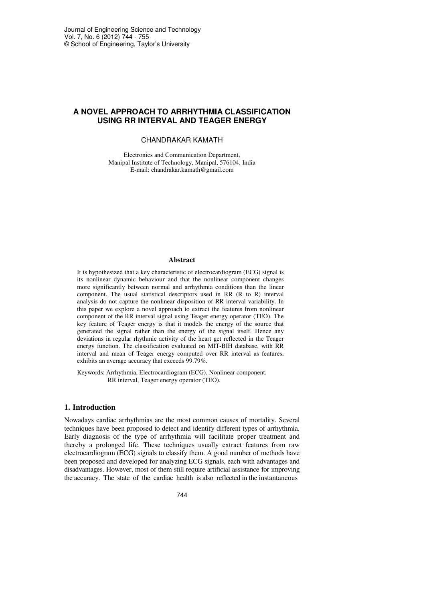# **A NOVEL APPROACH TO ARRHYTHMIA CLASSIFICATION USING RR INTERVAL AND TEAGER ENERGY**

## CHANDRAKAR KAMATH

Electronics and Communication Department, Manipal Institute of Technology, Manipal, 576104, India E-mail: chandrakar.kamath@gmail.com

#### **Abstract**

It is hypothesized that a key characteristic of electrocardiogram (ECG) signal is its nonlinear dynamic behaviour and that the nonlinear component changes more significantly between normal and arrhythmia conditions than the linear component. The usual statistical descriptors used in RR (R to R) interval analysis do not capture the nonlinear disposition of RR interval variability. In this paper we explore a novel approach to extract the features from nonlinear component of the RR interval signal using Teager energy operator (TEO). The key feature of Teager energy is that it models the energy of the source that generated the signal rather than the energy of the signal itself. Hence any deviations in regular rhythmic activity of the heart get reflected in the Teager energy function. The classification evaluated on MIT-BIH database, with RR interval and mean of Teager energy computed over RR interval as features, exhibits an average accuracy that exceeds 99.79%.

Keywords: Arrhythmia, Electrocardiogram (ECG), Nonlinear component, RR interval, Teager energy operator (TEO).

### **1. Introduction**

Nowadays cardiac arrhythmias are the most common causes of mortality. Several techniques have been proposed to detect and identify different types of arrhythmia. Early diagnosis of the type of arrhythmia will facilitate proper treatment and thereby a prolonged life. These techniques usually extract features from raw electrocardiogram (ECG) signals to classify them. A good number of methods have been proposed and developed for analyzing ECG signals, each with advantages and disadvantages. However, most of them still require artificial assistance for improving the accuracy. The state of the cardiac health is also reflected in the instantaneous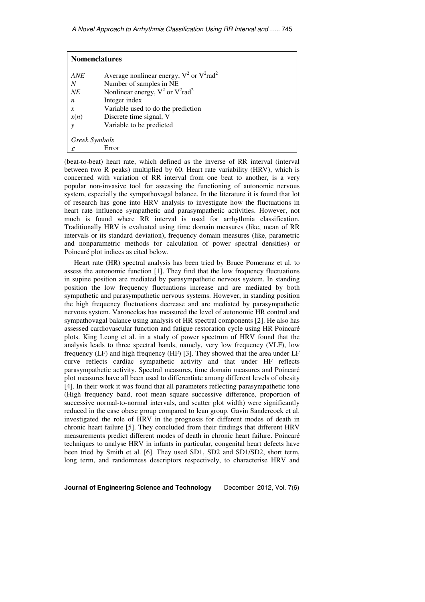| <b>Nomenclatures</b> |                                                           |  |  |  |
|----------------------|-----------------------------------------------------------|--|--|--|
| ANE                  | Average nonlinear energy, $V^2$ or $V^2$ rad <sup>2</sup> |  |  |  |
| N                    | Number of samples in NE                                   |  |  |  |
| NE                   | Nonlinear energy, $V^2$ or $V^2$ rad <sup>2</sup>         |  |  |  |
| n                    | Integer index                                             |  |  |  |
| $\boldsymbol{x}$     | Variable used to do the prediction                        |  |  |  |
| x(n)                 | Discrete time signal, V                                   |  |  |  |
|                      | Variable to be predicted                                  |  |  |  |
|                      |                                                           |  |  |  |
|                      | Greek Symbols                                             |  |  |  |
| ε                    | Error                                                     |  |  |  |

(beat-to-beat) heart rate, which defined as the inverse of RR interval (interval between two R peaks) multiplied by 60. Heart rate variability (HRV), which is concerned with variation of RR interval from one beat to another, is a very popular non-invasive tool for assessing the functioning of autonomic nervous system, especially the sympathovagal balance. In the literature it is found that lot of research has gone into HRV analysis to investigate how the fluctuations in heart rate influence sympathetic and parasympathetic activities. However, not much is found where RR interval is used for arrhythmia classification. Traditionally HRV is evaluated using time domain measures (like, mean of RR intervals or its standard deviation), frequency domain measures (like, parametric and nonparametric methods for calculation of power spectral densities) or Poincaré plot indices as cited below.

Heart rate (HR) spectral analysis has been tried by Bruce Pomeranz et al. to assess the autonomic function [1]. They find that the low frequency fluctuations in supine position are mediated by parasympathetic nervous system. In standing position the low frequency fluctuations increase and are mediated by both sympathetic and parasympathetic nervous systems. However, in standing position the high frequency fluctuations decrease and are mediated by parasympathetic nervous system. Varoneckas has measured the level of autonomic HR control and sympathovagal balance using analysis of HR spectral components [2]. He also has assessed cardiovascular function and fatigue restoration cycle using HR Poincaré plots. King Leong et al. in a study of power spectrum of HRV found that the analysis leads to three spectral bands, namely, very low frequency (VLF), low frequency (LF) and high frequency (HF) [3]. They showed that the area under LF curve reflects cardiac sympathetic activity and that under HF reflects parasympathetic activity. Spectral measures, time domain measures and Poincaré plot measures have all been used to differentiate among different levels of obesity [4]. In their work it was found that all parameters reflecting parasympathetic tone (High frequency band, root mean square successive difference, proportion of successive normal-to-normal intervals, and scatter plot width) were significantly reduced in the case obese group compared to lean group. Gavin Sandercock et al. investigated the role of HRV in the prognosis for different modes of death in chronic heart failure [5]. They concluded from their findings that different HRV measurements predict different modes of death in chronic heart failure. Poincaré techniques to analyse HRV in infants in particular, congenital heart defects have been tried by Smith et al. [6]. They used SD1, SD2 and SD1/SD2, short term, long term, and randomness descriptors respectively, to characterise HRV and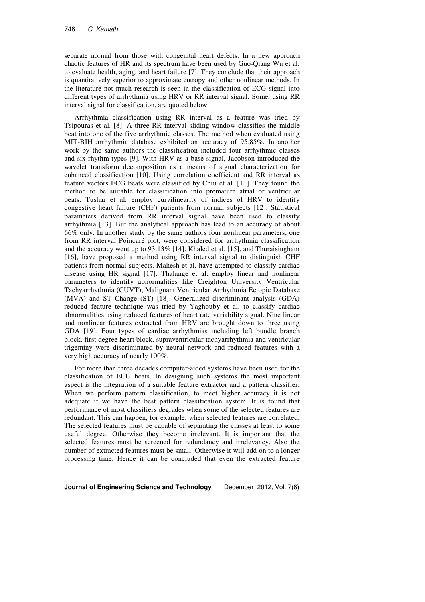separate normal from those with congenital heart defects. In a new approach chaotic features of HR and its spectrum have been used by Guo-Qiang Wu et al. to evaluate health, aging, and heart failure [7]. They conclude that their approach is quantitatively superior to approximate entropy and other nonlinear methods. In the literature not much research is seen in the classification of ECG signal into different types of arrhythmia using HRV or RR interval signal. Some, using RR interval signal for classification, are quoted below.

Arrhythmia classification using RR interval as a feature was tried by Tsipouras et al. [8]. A three RR interval sliding window classifies the middle beat into one of the five arrhythmic classes. The method when evaluated using MIT-BIH arrhythmia database exhibited an accuracy of 95.85%. In another work by the same authors the classification included four arrhythmic classes and six rhythm types [9]. With HRV as a base signal, Jacobson introduced the wavelet transform decomposition as a means of signal characterization for enhanced classification [10]. Using correlation coefficient and RR interval as feature vectors ECG beats were classified by Chiu et al. [11]. They found the method to be suitable for classification into premature atrial or ventricular beats. Tushar et al*.* employ curvilinearity of indices of HRV to identify congestive heart failure (CHF) patients from normal subjects [12]. Statistical parameters derived from RR interval signal have been used to classify arrhythmia [13]. But the analytical approach has lead to an accuracy of about 66% only. In another study by the same authors four nonlinear parameters, one from RR interval Poincaré plot, were considered for arrhythmia classification and the accuracy went up to 93.13% [14]. Khaled et al. [15], and Thuraisingham [16], have proposed a method using RR interval signal to distinguish CHF patients from normal subjects. Mahesh et al. have attempted to classify cardiac disease using HR signal [17]. Thalange et al. employ linear and nonlinear parameters to identify abnormalities like Creighton University Ventricular Tachyarrhythmia (CUVT), Malignant Ventricular Arrhythmia Ectopic Database (MVA) and ST Change (ST) [18]. Generalized discriminant analysis (GDA) reduced feature technique was tried by Yaghouby et al. to classify cardiac abnormalities using reduced features of heart rate variability signal. Nine linear and nonlinear features extracted from HRV are brought down to three using GDA [19]. Four types of cardiac arrhythmias including left bundle branch block, first degree heart block, supraventricular tachyarrhythmia and ventricular trigeminy were discriminated by neural network and reduced features with a very high accuracy of nearly 100%.

For more than three decades computer-aided systems have been used for the classification of ECG beats. In designing such systems the most important aspect is the integration of a suitable feature extractor and a pattern classifier. When we perform pattern classification, to meet higher accuracy it is not adequate if we have the best pattern classification system. It is found that performance of most classifiers degrades when some of the selected features are redundant. This can happen, for example, when selected features are correlated. The selected features must be capable of separating the classes at least to some useful degree. Otherwise they become irrelevant. It is important that the selected features must be screened for redundancy and irrelevancy. Also the number of extracted features must be small. Otherwise it will add on to a longer processing time. Hence it can be concluded that even the extracted feature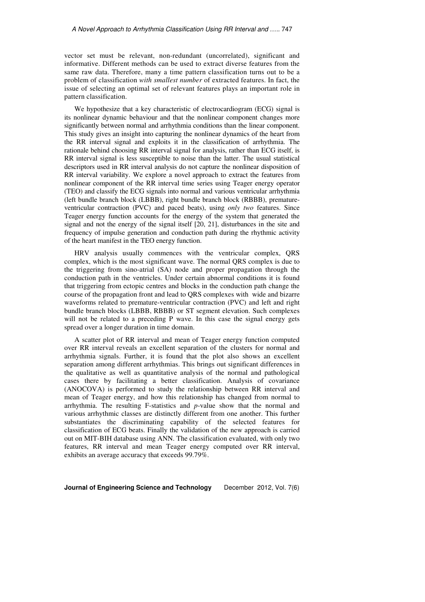vector set must be relevant, non-redundant (uncorrelated), significant and informative. Different methods can be used to extract diverse features from the same raw data. Therefore, many a time pattern classification turns out to be a problem of classification *with smallest number* of extracted features. In fact, the issue of selecting an optimal set of relevant features plays an important role in pattern classification.

We hypothesize that a key characteristic of electrocardiogram (ECG) signal is its nonlinear dynamic behaviour and that the nonlinear component changes more significantly between normal and arrhythmia conditions than the linear component. This study gives an insight into capturing the nonlinear dynamics of the heart from the RR interval signal and exploits it in the classification of arrhythmia. The rationale behind choosing RR interval signal for analysis, rather than ECG itself, is RR interval signal is less susceptible to noise than the latter. The usual statistical descriptors used in RR interval analysis do not capture the nonlinear disposition of RR interval variability. We explore a novel approach to extract the features from nonlinear component of the RR interval time series using Teager energy operator (TEO) and classify the ECG signals into normal and various ventricular arrhythmia (left bundle branch block (LBBB), right bundle branch block (RBBB), prematureventricular contraction (PVC) and paced beats), using *only two* features. Since Teager energy function accounts for the energy of the system that generated the signal and not the energy of the signal itself [20, 21], disturbances in the site and frequency of impulse generation and conduction path during the rhythmic activity of the heart manifest in the TEO energy function.

HRV analysis usually commences with the ventricular complex, QRS complex, which is the most significant wave. The normal QRS complex is due to the triggering from sino-atrial (SA) node and proper propagation through the conduction path in the ventricles. Under certain abnormal conditions it is found that triggering from ectopic centres and blocks in the conduction path change the course of the propagation front and lead to QRS complexes with wide and bizarre waveforms related to premature-ventricular contraction (PVC) and left and right bundle branch blocks (LBBB, RBBB) or ST segment elevation. Such complexes will not be related to a preceding P wave. In this case the signal energy gets spread over a longer duration in time domain.

A scatter plot of RR interval and mean of Teager energy function computed over RR interval reveals an excellent separation of the clusters for normal and arrhythmia signals. Further, it is found that the plot also shows an excellent separation among different arrhythmias. This brings out significant differences in the qualitative as well as quantitative analysis of the normal and pathological cases there by facilitating a better classification. Analysis of covariance (ANOCOVA) is performed to study the relationship between RR interval and mean of Teager energy, and how this relationship has changed from normal to arrhythmia. The resulting F-statistics and *p*-value show that the normal and various arrhythmic classes are distinctly different from one another. This further substantiates the discriminating capability of the selected features for classification of ECG beats. Finally the validation of the new approach is carried out on MIT-BIH database using ANN. The classification evaluated, with only two features, RR interval and mean Teager energy computed over RR interval, exhibits an average accuracy that exceeds 99.79%.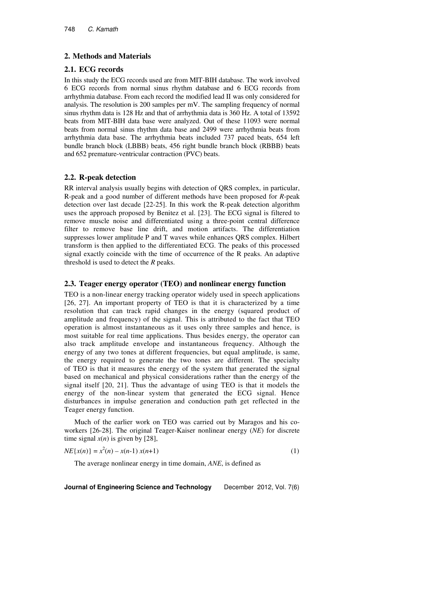### **2. Methods and Materials**

#### **2.1. ECG records**

In this study the ECG records used are from MIT-BIH database. The work involved 6 ECG records from normal sinus rhythm database and 6 ECG records from arrhythmia database. From each record the modified lead II was only considered for analysis. The resolution is 200 samples per mV. The sampling frequency of normal sinus rhythm data is 128 Hz and that of arrhythmia data is 360 Hz. A total of 13592 beats from MIT-BIH data base were analyzed. Out of these 11093 were normal beats from normal sinus rhythm data base and 2499 were arrhythmia beats from arrhythmia data base. The arrhythmia beats included 737 paced beats, 654 left bundle branch block (LBBB) beats, 456 right bundle branch block (RBBB) beats and 652 premature-ventricular contraction (PVC) beats.

### **2.2. R-peak detection**

RR interval analysis usually begins with detection of QRS complex, in particular, R-peak and a good number of different methods have been proposed for *R*-peak detection over last decade [22-25]. In this work the R-peak detection algorithm uses the approach proposed by Benitez et al. [23]. The ECG signal is filtered to remove muscle noise and differentiated using a three-point central difference filter to remove base line drift, and motion artifacts. The differentiation suppresses lower amplitude P and T waves while enhances QRS complex. Hilbert transform is then applied to the differentiated ECG. The peaks of this processed signal exactly coincide with the time of occurrence of the R peaks. An adaptive threshold is used to detect the *R* peaks.

#### **2.3. Teager energy operator (TEO) and nonlinear energy function**

TEO is a non-linear energy tracking operator widely used in speech applications [26, 27]. An important property of TEO is that it is characterized by a time resolution that can track rapid changes in the energy (squared product of amplitude and frequency) of the signal. This is attributed to the fact that TEO operation is almost instantaneous as it uses only three samples and hence, is most suitable for real time applications. Thus besides energy, the operator can also track amplitude envelope and instantaneous frequency. Although the energy of any two tones at different frequencies, but equal amplitude, is same, the energy required to generate the two tones are different. The specialty of TEO is that it measures the energy of the system that generated the signal based on mechanical and physical considerations rather than the energy of the signal itself [20, 21]. Thus the advantage of using TEO is that it models the energy of the non-linear system that generated the ECG signal. Hence disturbances in impulse generation and conduction path get reflected in the Teager energy function.

Much of the earlier work on TEO was carried out by Maragos and his coworkers [26-28]. The original Teager-Kaiser nonlinear energy (*NE*) for discrete time signal  $x(n)$  is given by [28],

 $NE{x(n)} = x^2(n) - x(n-1)x(n+1)$  (1)

The average nonlinear energy in time domain, *ANE*, is defined as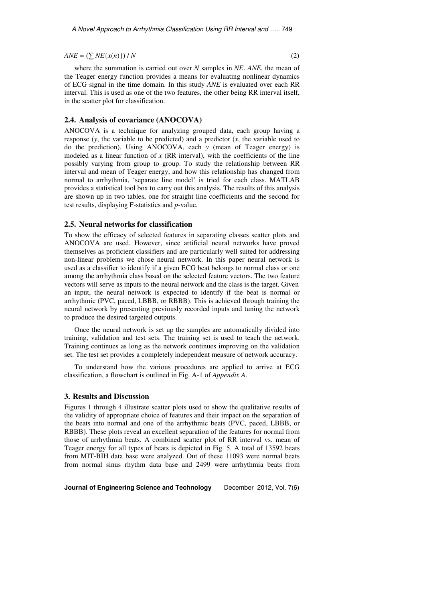### $ANE = (\sum NE\{x(n)\}) / N$  (2)

where the summation is carried out over *N* samples in *NE*. *ANE*, the mean of the Teager energy function provides a means for evaluating nonlinear dynamics of ECG signal in the time domain. In this study *ANE* is evaluated over each RR interval. This is used as one of the two features, the other being RR interval itself, in the scatter plot for classification.

### **2.4. Analysis of covariance (ANOCOVA)**

ANOCOVA is a technique for analyzing grouped data, each group having a response  $(y,$  the variable to be predicted) and a predictor  $(x,$  the variable used to do the prediction). Using ANOCOVA, each *y* (mean of Teager energy) is modeled as a linear function of  $x$  (RR interval), with the coefficients of the line possibly varying from group to group. To study the relationship between RR interval and mean of Teager energy, and how this relationship has changed from normal to arrhythmia, 'separate line model' is tried for each class. MATLAB provides a statistical tool box to carry out this analysis. The results of this analysis are shown up in two tables, one for straight line coefficients and the second for test results, displaying F-statistics and *p*-value.

#### **2.5. Neural networks for classification**

To show the efficacy of selected features in separating classes scatter plots and ANOCOVA are used. However, since artificial neural networks have proved themselves as proficient classifiers and are particularly well suited for addressing non-linear problems we chose neural network. In this paper neural network is used as a classifier to identify if a given ECG beat belongs to normal class or one among the arrhythmia class based on the selected feature vectors. The two feature vectors will serve as inputs to the neural network and the class is the target. Given an input, the neural network is expected to identify if the beat is normal or arrhythmic (PVC, paced, LBBB, or RBBB). This is achieved through training the neural network by presenting previously recorded inputs and tuning the network to produce the desired targeted outputs.

Once the neural network is set up the samples are automatically divided into training, validation and test sets. The training set is used to teach the network. Training continues as long as the network continues improving on the validation set. The test set provides a completely independent measure of network accuracy.

To understand how the various procedures are applied to arrive at ECG classification, a flowchart is outlined in Fig. A-1 of *Appendix A*.

### **3. Results and Discussion**

Figures 1 through 4 illustrate scatter plots used to show the qualitative results of the validity of appropriate choice of features and their impact on the separation of the beats into normal and one of the arrhythmic beats (PVC, paced, LBBB, or RBBB). These plots reveal an excellent separation of the features for normal from those of arrhythmia beats. A combined scatter plot of RR interval vs. mean of Teager energy for all types of beats is depicted in Fig. 5. A total of 13592 beats from MIT-BIH data base were analyzed. Out of these 11093 were normal beats from normal sinus rhythm data base and 2499 were arrhythmia beats from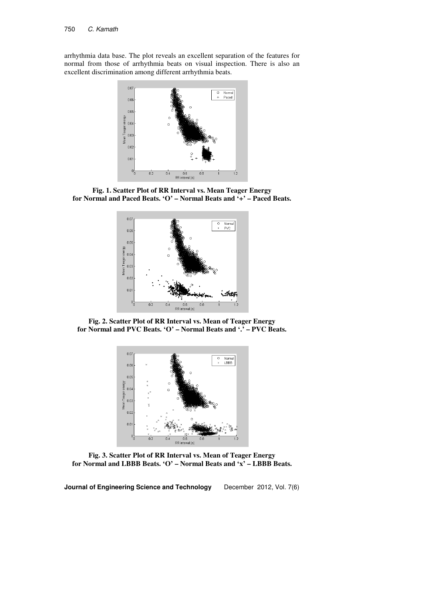arrhythmia data base. The plot reveals an excellent separation of the features for normal from those of arrhythmia beats on visual inspection. There is also an excellent discrimination among different arrhythmia beats.



**Fig. 1. Scatter Plot of RR Interval vs. Mean Teager Energy for Normal and Paced Beats. 'O' – Normal Beats and '+' – Paced Beats.** 



**Fig. 2. Scatter Plot of RR Interval vs. Mean of Teager Energy for Normal and PVC Beats. 'O' – Normal Beats and '.' – PVC Beats.**



**Fig. 3. Scatter Plot of RR Interval vs. Mean of Teager Energy for Normal and LBBB Beats. 'O' – Normal Beats and 'x' – LBBB Beats.**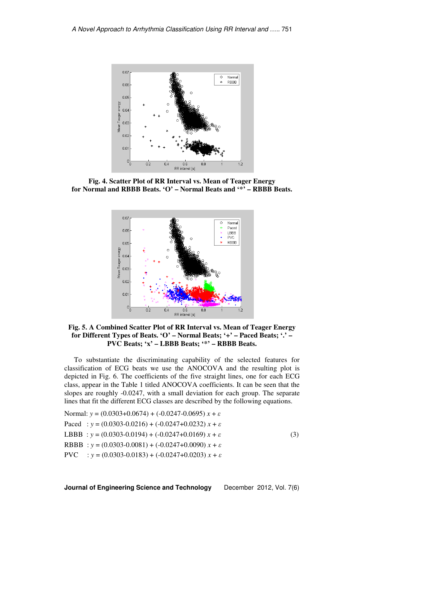

**Fig. 4. Scatter Plot of RR Interval vs. Mean of Teager Energy for Normal and RBBB Beats. 'O' – Normal Beats and '\*' – RBBB Beats.**



**Fig. 5. A Combined Scatter Plot of RR Interval vs. Mean of Teager Energy for Different Types of Beats. 'O' – Normal Beats; '+' – Paced Beats; '.' – PVC Beats; 'x' – LBBB Beats; '\*' – RBBB Beats.**

To substantiate the discriminating capability of the selected features for classification of ECG beats we use the ANOCOVA and the resulting plot is depicted in Fig. 6. The coefficients of the five straight lines, one for each ECG class, appear in the Table 1 titled ANOCOVA coefficients. It can be seen that the slopes are roughly -0.0247, with a small deviation for each group. The separate lines that fit the different ECG classes are described by the following equations.

Normal:  $y = (0.0303+0.0674) + (-0.0247-0.0695) x + \varepsilon$ Paced :  $y = (0.0303 - 0.0216) + (-0.0247 + 0.0232) x + \varepsilon$ LBBB :  $y = (0.0303 - 0.0194) + (-0.0247 + 0.0169) x + \varepsilon$  (3) RBBB : *y* = (0.0303-0.0081) + (-0.0247+0.0090) *x* + ε PVC :  $y = (0.0303 - 0.0183) + (-0.0247 + 0.0203) x + \varepsilon$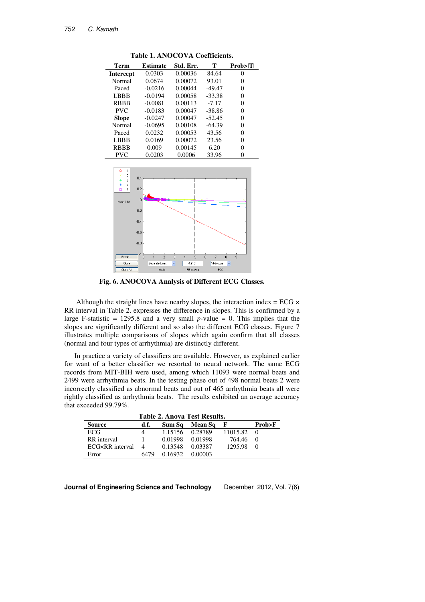| Term             | Estimate  | Std. Err. | т        | Prob> T  |
|------------------|-----------|-----------|----------|----------|
| <b>Intercept</b> | 0.0303    | 0.00036   | 84.64    | 0        |
| Normal           | 0.0674    | 0.00072   | 93.01    | 0        |
| Paced            | $-0.0216$ | 0.00044   | $-49.47$ | 0        |
| LBBB             | $-0.0194$ | 0.00058   | $-33.38$ | 0        |
| <b>RBBB</b>      | $-0.0081$ | 0.00113   | $-7.17$  | 0        |
| <b>PVC</b>       | $-0.0183$ | 0.00047   | $-38.86$ | 0        |
| <b>Slope</b>     | $-0.0247$ | 0.00047   | $-52.45$ | 0        |
| Normal           | $-0.0695$ | 0.00108   | $-64.39$ | 0        |
| Paced            | 0.0232    | 0.00053   | 43.56    | 0        |
| LBBB             | 0.0169    | 0.00072   | 23.56    | $\Omega$ |
| <b>RBBB</b>      | 0.009     | 0.00145   | 6.20     | 0        |
| PVC              | 0.0203    | 0.0006    | 33.96    | 0        |



**Table 1. ANOCOVA Coefficients.** 



**Fig. 6. ANOCOVA Analysis of Different ECG Classes.** 

Although the straight lines have nearby slopes, the interaction index =  $ECG \times$ RR interval in Table 2. expresses the difference in slopes. This is confirmed by a large F-statistic = 1295.8 and a very small  $p$ -value = 0. This implies that the slopes are significantly different and so also the different ECG classes. Figure 7 illustrates multiple comparisons of slopes which again confirm that all classes (normal and four types of arrhythmia) are distinctly different.

In practice a variety of classifiers are available. However, as explained earlier for want of a better classifier we resorted to neural network. The same ECG records from MIT-BIH were used, among which 11093 were normal beats and 2499 were arrhythmia beats. In the testing phase out of 498 normal beats 2 were incorrectly classified as abnormal beats and out of 465 arrhythmia beats all were rightly classified as arrhythmia beats. The results exhibited an average accuracy that exceeded 99.79%.

| <b>Table 2. Anova Test Results.</b> |         |         |                            |          |  |  |  |  |
|-------------------------------------|---------|---------|----------------------------|----------|--|--|--|--|
| d.f.                                | Sum Sq  | Mean Sq | $\mathbf{F}$               | Prob>F   |  |  |  |  |
|                                     |         |         | 11015.82                   | - 0      |  |  |  |  |
|                                     | 0.01998 |         | 764.46                     |          |  |  |  |  |
|                                     | 0.13548 | 0.03387 | 1295.98                    | $\theta$ |  |  |  |  |
| 6479                                | 0.16932 | 0.00003 |                            |          |  |  |  |  |
|                                     |         |         | 1.15156 0.28789<br>0.01998 |          |  |  |  |  |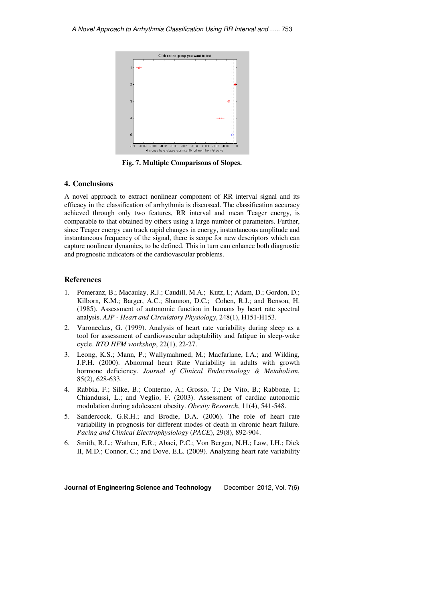

**Fig. 7. Multiple Comparisons of Slopes.**

## **4. Conclusions**

A novel approach to extract nonlinear component of RR interval signal and its efficacy in the classification of arrhythmia is discussed. The classification accuracy achieved through only two features, RR interval and mean Teager energy, is comparable to that obtained by others using a large number of parameters. Further, since Teager energy can track rapid changes in energy, instantaneous amplitude and instantaneous frequency of the signal, there is scope for new descriptors which can capture nonlinear dynamics, to be defined. This in turn can enhance both diagnostic and prognostic indicators of the cardiovascular problems.

### **References**

- 1. Pomeranz, B.; Macaulay, R.J.; Caudill, M.A.; Kutz, I.; Adam, D.; Gordon, D.; Kilborn, K.M.; Barger, A.C.; Shannon, D.C.; Cohen, R.J.; and Benson, H. (1985). Assessment of autonomic function in humans by heart rate spectral analysis. *AJP - Heart and Circulatory Physiology*, 248(1), H151-H153.
- 2. Varoneckas, G. (1999). Analysis of heart rate variability during sleep as a tool for assessment of cardiovascular adaptability and fatigue in sleep-wake cycle. *RTO HFM workshop*, 22(1), 22-27.
- 3. Leong, K.S.; Mann, P.; Wallymahmed, M.; Macfarlane, I.A.; and Wilding, J.P.H. (2000). Abnormal heart Rate Variability in adults with growth hormone deficiency. *Journal of Clinical Endocrinology & Metabolism*, 85(2), 628-633.
- 4. Rabbia, F.; Silke, B.; Conterno, A.; Grosso, T.; De Vito, B.; Rabbone, I.; Chiandussi, L.; and Veglio, F. (2003). Assessment of cardiac autonomic modulation during adolescent obesity. *Obesity Research*, 11(4), 541-548.
- 5. Sandercock, G.R.H.; and Brodie, D.A. (2006). The role of heart rate variability in prognosis for different modes of death in chronic heart failure. *Pacing and Clinical Electrophysiology* (*PACE*), 29(8), 892-904.
- 6. Smith, R.L.; Wathen, E.R.; Abaci, P.C.; Von Bergen, N.H.; Law, I.H.; Dick II, M.D.; Connor, C.; and Dove, E.L. (2009). Analyzing heart rate variability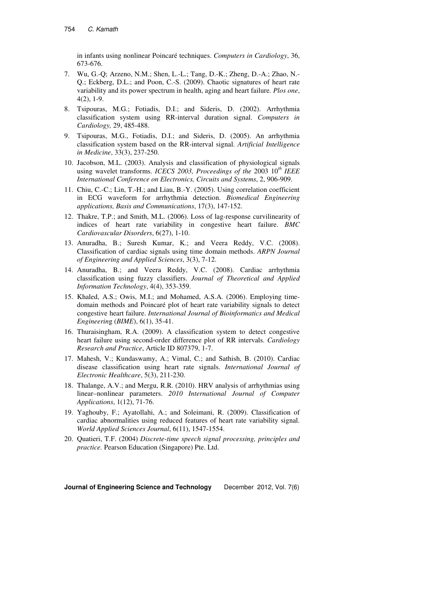in infants using nonlinear Poincaré techniques. *Computers in Cardiology*, 36, 673-676.

- 7. Wu, G.-Q; Arzeno, N.M.; Shen, L.-L.; Tang, D.-K.; Zheng, D.-A.; Zhao, N.- Q.; Eckberg, D.L.; and Poon, C.-S. (2009). Chaotic signatures of heart rate variability and its power spectrum in health, aging and heart failure*. Plos one*, 4(2), 1-9.
- 8. Tsipouras, M.G.; Fotiadis, D.I.; and Sideris, D. (2002). Arrhythmia classification system using RR-interval duration signal. *Computers in Cardiology,* 29, 485-488.
- 9. Tsipouras, M.G., Fotiadis, D.I.; and Sideris, D. (2005). An arrhythmia classification system based on the RR-interval signal. *Artificial Intelligence in Medicine*, 33(3), 237-250.
- 10. Jacobson, M.L. (2003). Analysis and classification of physiological signals using wavelet transforms. *ICECS 2003, Proceedings of the* 2003 10*th IEEE International Conference on Electronics, Circuits and Systems*, 2, 906-909.
- 11. Chiu, C.-C.; Lin, T.-H.; and Liau, B.-Y. (2005). Using correlation coefficient in ECG waveform for arrhythmia detection. *Biomedical Engineering applications, Basis and Communications*, 17(3), 147-152.
- 12. Thakre, T.P.; and Smith, M.L. (2006). Loss of lag-response curvilinearity of indices of heart rate variability in congestive heart failure. *BMC Cardiovascular Disorders*, 6(27), 1-10.
- 13. Anuradha, B.; Suresh Kumar, K.; and Veera Reddy, V.C. (2008). Classification of cardiac signals using time domain methods. *ARPN Journal of Engineering and Applied Sciences*, 3(3), 7-12.
- 14. Anuradha, B.; and Veera Reddy, V.C. (2008). Cardiac arrhythmia classification using fuzzy classifiers. *Journal of Theoretical and Applied Information Technology*, 4(4), 353-359.
- 15. Khaled, A.S.; Owis, M.I.; and Mohamed, A.S.A. (2006). Employing timedomain methods and Poincaré plot of heart rate variability signals to detect congestive heart failure. *International Journal of Bioinformatics and Medical Engineerin*g (*BIME*), 6(1), 35-41.
- 16. Thuraisingham, R.A. (2009). A classification system to detect congestive heart failure using second-order difference plot of RR intervals. *Cardiology Research and Practice*, Article ID 807379, 1-7.
- 17. Mahesh, V.; Kundaswamy, A.; Vimal, C.; and Sathish, B. (2010). Cardiac disease classification using heart rate signals. *International Journal of Electronic Healthcare*, 5(3), 211-230.
- 18. Thalange, A.V.; and Mergu, R.R. (2010). HRV analysis of arrhythmias using linear–nonlinear parameters. *2010 International Journal of Computer Applications*, 1(12), 71-76.
- 19. Yaghouby, F.; Ayatollahi, A.; and Soleimani, R. (2009). Classification of cardiac abnormalities using reduced features of heart rate variability signal. *World Applied Sciences Journal*, 6(11), 1547-1554.
- 20. Quatieri, T.F. (2004) *Discrete-time speech signal processing, principles and practice.* Pearson Education (Singapore) Pte. Ltd.